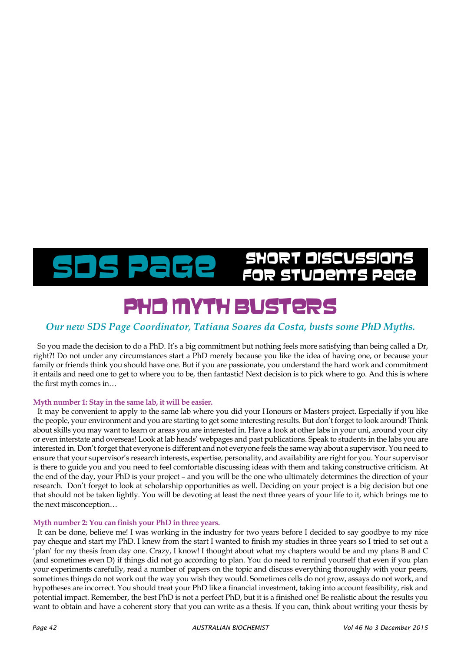## SDS Page SHORT DISCUSSION

### PHD MYTH BUSTER

#### *Our new SDS Page Coordinator, Tatiana Soares da Costa, busts some PhD Myths.*

So you made the decision to do a PhD. It's a big commitment but nothing feels more satisfying than being called a Dr, right?! Do not under any circumstances start a PhD merely because you like the idea of having one, or because your family or friends think you should have one. But if you are passionate, you understand the hard work and commitment it entails and need one to get to where you to be, then fantastic! Next decision is to pick where to go. And this is where the first myth comes in…

#### **Myth number 1: Stay in the same lab, it will be easier.**

It may be convenient to apply to the same lab where you did your Honours or Masters project. Especially if you like the people, your environment and you are starting to get some interesting results. But don't forget to look around! Think about skills you may want to learn or areas you are interested in. Have a look at other labs in your uni, around your city or even interstate and overseas! Look at lab heads' webpages and past publications. Speak to students in the labs you are interested in. Don't forget that everyone is different and not everyone feels the same way about a supervisor. You need to ensure that your supervisor's research interests, expertise, personality, and availability are right for you. Your supervisor is there to guide you and you need to feel comfortable discussing ideas with them and taking constructive criticism. At the end of the day, your PhD is your project – and you will be the one who ultimately determines the direction of your research. Don't forget to look at scholarship opportunities as well. Deciding on your project is a big decision but one that should not be taken lightly. You will be devoting at least the next three years of your life to it, which brings me to the next misconception…

#### **Myth number 2: You can finish your PhD in three years.**

It can be done, believe me! I was working in the industry for two years before I decided to say goodbye to my nice pay cheque and start my PhD. I knew from the start I wanted to finish my studies in three years so I tried to set out a 'plan' for my thesis from day one. Crazy, I know! I thought about what my chapters would be and my plans B and C (and sometimes even D) if things did not go according to plan. You do need to remind yourself that even if you plan your experiments carefully, read a number of papers on the topic and discuss everything thoroughly with your peers, sometimes things do not work out the way you wish they would. Sometimes cells do not grow, assays do not work, and hypotheses are incorrect. You should treat your PhD like a financial investment, taking into account feasibility, risk and potential impact. Remember, the best PhD is not a perfect PhD, but it is a finished one! Be realistic about the results you want to obtain and have a coherent story that you can write as a thesis. If you can, think about writing your thesis by